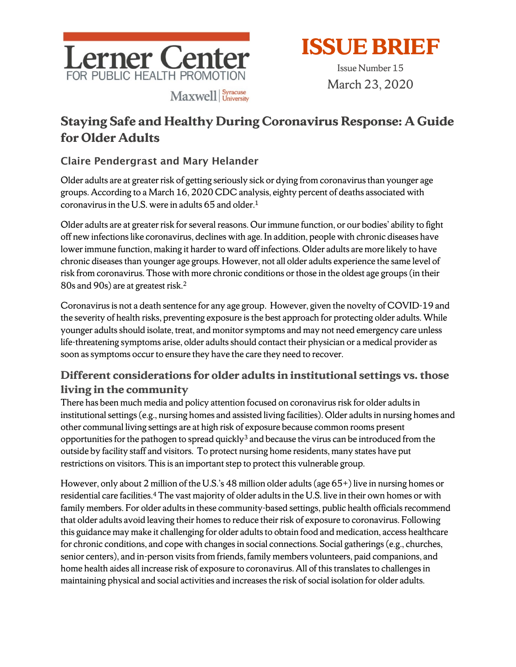



Issue Number 15 March 23, 2020

# **Staying Safe and Healthy During Coronavirus Response: A Guide for Older Adults**

#### Claire Pendergrast and Mary Helander

Older adults are at greater risk of getting seriously sick or dying from coronavirus than younger age groups. According to a March 16, 2020 CDC analysis, eighty percent of deaths associated with coronavirus in the U.S. were in adults 65 and older.1

Older adults are at greater risk for several reasons. Our immune function, or our bodies' ability to fight off new infections like coronavirus, declines with age. In addition, people with chronic diseases have lower immune function, making it harder to ward off infections. Older adults are more likely to have chronic diseases than younger age groups. However, not all older adults experience the same level of risk from coronavirus. Those with more chronic conditions or those in the oldest age groups (in their 80s and 90s) are at greatest risk.2

Coronavirus is not a death sentence for any age group. However, given the novelty of COVID-19 and the severity of health risks, preventing exposure is the best approach for protecting older adults. While younger adults should isolate, treat, and monitor symptoms and may not need emergency care unless life-threatening symptoms arise, older adults should contact their physician or a medical provider as soon as symptoms occur to ensure they have the care they need to recover.

### **Different considerations for older adults in institutional settings vs. those living in the community**

There has been much media and policy attention focused on coronavirus risk for older adults in institutional settings (e.g., nursing homes and assisted living facilities). Older adults in nursing homes and other communal living settings are at high risk of exposure because common rooms present opportunities for the pathogen to spread quickly<sup>3</sup> and because the virus can be introduced from the outside by facility staff and visitors. To protect nursing home residents, many states have put restrictions on visitors. This is an important step to protect this vulnerable group.

However, only about 2 million of the U.S.'s 48 million older adults (age  $65+)$  live in nursing homes or residential care facilities.<sup>4</sup> The vast majority of older adults in the U.S. live in their own homes or with family members. For older adults in these community-based settings, public health officials recommend that older adults avoid leaving their homesto reduce their risk of exposure to coronavirus. Following this guidance may make it challenging for older adults to obtain food and medication, access healthcare for chronic conditions, and cope with changes in social connections. Social gatherings (e.g., churches, senior centers), and in-person visits from friends, family members volunteers, paid companions, and home health aides all increase risk of exposure to coronavirus. All of this translates to challenges in maintaining physical and social activities and increases the risk of social isolation for older adults.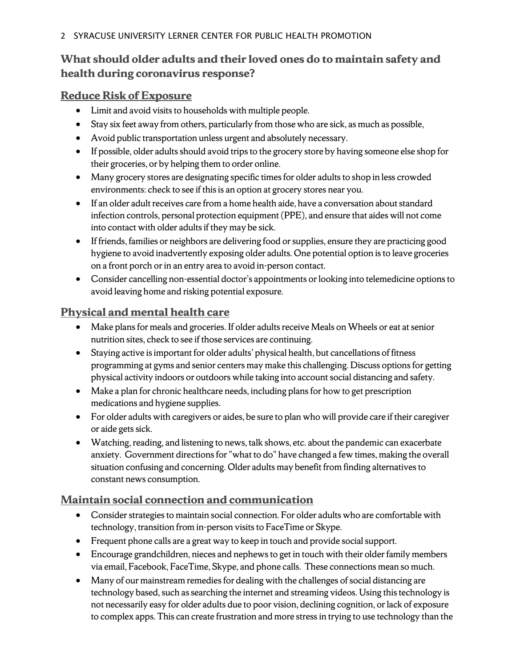### **What should older adults and their loved ones do to maintain safety and health during coronavirus response?**

#### **Reduce Risk of Exposure**

- Limit and avoid visits to households with multiple people.
- Stay six feet away from others, particularly from those who are sick, as much as possible,
- Avoid public transportation unless urgent and absolutely necessary.
- If possible, older adults should avoid trips to the grocery store by having someone else shop for their groceries, or by helping them to order online.
- Many grocery stores are designating specific times for older adults to shop in less crowded environments: check to see if this is an option at grocery stores near you.
- If an older adult receives care from a home health aide, have a conversation about standard infection controls, personal protection equipment (PPE), and ensure that aides will not come into contact with older adults if they may be sick.
- If friends, families or neighbors are delivering food or supplies, ensure they are practicing good hygiene to avoid inadvertently exposing older adults. One potential option is to leave groceries on a front porch or in an entry area to avoid in-person contact.
- Consider cancelling non-essential doctor's appointments or looking into telemedicine options to avoid leaving home and risking potential exposure.

#### **Physical and mental health care**

- Make plans for meals and groceries. If older adults receive Meals on Wheels or eat at senior nutrition sites, check to see if those services are continuing.
- Staying active is important for older adults' physical health, but cancellations of fitness programming at gyms and senior centers may make this challenging. Discuss options for getting physical activity indoors or outdoors while taking into account social distancing and safety.
- Make a plan for chronic healthcare needs, including plans for how to get prescription medications and hygiene supplies.
- For older adults with caregivers or aides, be sure to plan who will provide care if their caregiver or aide gets sick.
- Watching, reading, and listening to news, talk shows, etc. about the pandemic can exacerbate anxiety. Government directions for "what to do" have changed a few times, making the overall situation confusing and concerning. Older adults may benefit from finding alternatives to constant news consumption.

#### **Maintain social connection and communication**

- Consider strategies to maintain social connection. For older adults who are comfortable with technology, transition from in-person visits to FaceTime or Skype.
- Frequent phone calls are a great way to keep in touch and provide social support.
- Encourage grandchildren, nieces and nephews to get in touch with their older family members via email, Facebook, FaceTime, Skype, and phone calls. These connections mean so much.
- Many of our mainstream remedies for dealing with the challenges of social distancing are technology based, such as searching the internet and streaming videos. Using this technology is not necessarily easy for older adults due to poor vision, declining cognition, or lack of exposure to complex apps. This can create frustration and more stress in trying to use technology than the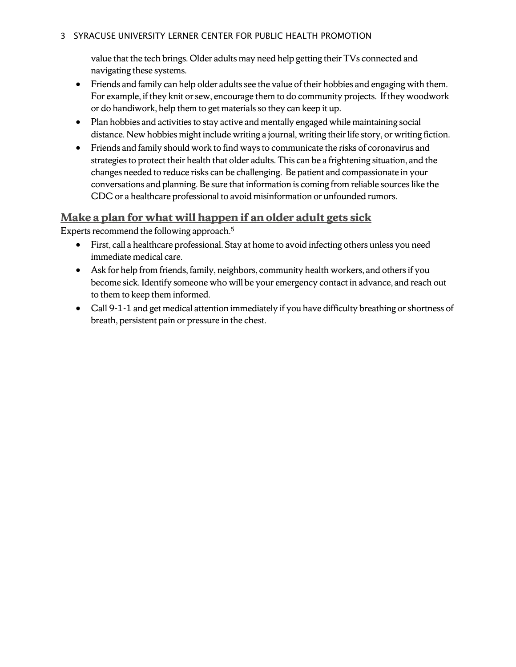#### 3 SYRACUSE UNIVERSITY LERNER CENTER FOR PUBLIC HEALTH PROMOTION

value that the tech brings. Older adults may need help getting their TVs connected and navigating these systems.

- Friends and family can help older adults see the value of their hobbies and engaging with them. For example, if they knit or sew, encourage them to do community projects. If they woodwork or do handiwork, help them to get materials so they can keep it up.
- Plan hobbies and activities to stay active and mentally engaged while maintaining social distance. New hobbies might include writing a journal, writing their life story, or writing fiction.
- Friends and family should work to find ways to communicate the risks of coronavirus and strategies to protect their health that older adults. This can be a frightening situation, and the changes needed to reduce risks can be challenging. Be patient and compassionate in your conversations and planning. Be sure that information is coming from reliable sources like the CDC or a healthcare professional to avoid misinformation or unfounded rumors.

#### **Make a plan for what will happen if an older adult gets sick**

Experts recommend the following approach.5

- First, call a healthcare professional. Stay at home to avoid infecting others unless you need immediate medical care.
- Ask for help from friends, family, neighbors, community health workers, and others if you become sick. Identify someone who will be your emergency contact in advance, and reach out to them to keep them informed.
- Call 9-1-1 and get medical attention immediately if you have difficulty breathing or shortness of breath, persistent pain or pressure in the chest.